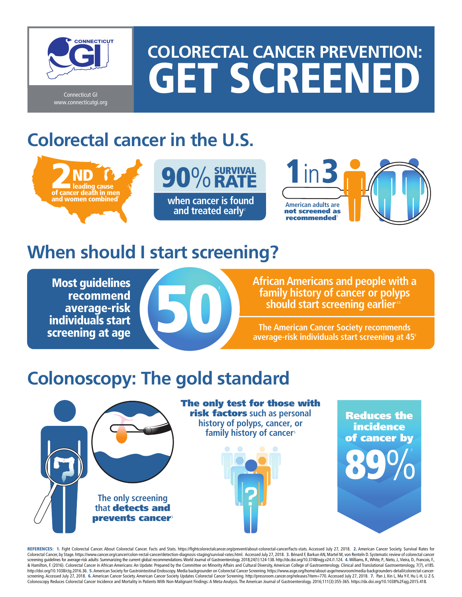

www.connecticutgi.org

# **COLORECTAL CANCER PREVENTION:** GET SCREENED

# **Colorectal cancer in the U.S.**







### **When should I start screening?**

Most guidelines recommend average-risk individuals start screening at age



**African Americans and people with a family history of cancer or polyps should start screening earlier**<sup>45</sup>

**The American Cancer Society recommends average-risk individuals start screening at 45**<sup>6</sup>

## **Colonoscopy: The gold standard**



The only test for those with risk factors **such as personal history of polyps, cancer, or**



Reduces the incidence of cancer by 89%

REFERENCES: 1. Fight Colorectal Cancer. About Colorectal Cancer. Facts and Stats. https://fightcolorectalcancer.org/prevent/about-colorectal-cancer/facts-stats. Accessed July 27, 2018. 2. American Cancer Society. Survival Colorectal Cancer, by Stage. https://www.cancer.org/cancer/colon-rectal-cancer/detection-diagnosis-staging/survival-rates.html. Accessed July 27, 2018. 3. Bénard F, Barkun AN, Martel M, von Renteln D. Systematic review of & Hamilton, F. (2016). Colorectal Cancer in African Americans: An Update: Prepared by the Committee on Minority Affairs and Cultural Diversity, American College of Gastroenterology. Clinical and Translational Gastroenterol http://doi.org/10.1038/ctg.2016.36. 5. American Society for Gastrointestinal Endoscopy. Media backgrounder on Colorectal Cancer Screening. https://www.asge.org/home/about-asge/newsroom/media-backgrounders-detail/colore screening. Accessed July 27, 2018. 6. American Cancer Society. American Cancer Society Updates Colorectal Cancer Screening. http://pressroom.cancer.org/releases?item=770. Accessed July 27, 2018. 7. Pan J, Xin L, Ma Y-F, Hu Colonoscopy Reduces Colorectal Cancer Incidence and Mortality in Patients With Non-Malignant Findings: A Meta-Analysis. The American Journal of Gastroenterology. 2016;111(3):355-365. https://dx.doi.org/10.1038%2Fajg.2015.4